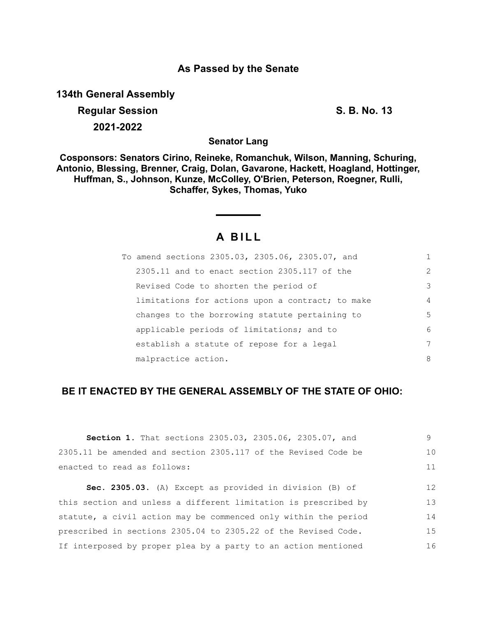### **As Passed by the Senate**

**134th General Assembly**

**Regular Session S. B. No. 13 2021-2022**

**Senator Lang**

**Cosponsors: Senators Cirino, Reineke, Romanchuk, Wilson, Manning, Schuring, Antonio, Blessing, Brenner, Craig, Dolan, Gavarone, Hackett, Hoagland, Hottinger, Huffman, S., Johnson, Kunze, McColley, O'Brien, Peterson, Roegner, Rulli, Schaffer, Sykes, Thomas, Yuko**

# **A B I L L**

| To amend sections 2305.03, 2305.06, 2305.07, and | 1              |
|--------------------------------------------------|----------------|
| $2305.11$ and to enact section $2305.117$ of the | $\mathcal{L}$  |
| Revised Code to shorten the period of            | 3              |
| limitations for actions upon a contract; to make | $\overline{4}$ |
| changes to the borrowing statute pertaining to   | 5              |
| applicable periods of limitations; and to        | 6              |
| establish a statute of repose for a legal        | 7              |
| malpractice action.                              | 8              |

## **BE IT ENACTED BY THE GENERAL ASSEMBLY OF THE STATE OF OHIO:**

| <b>Section 1.</b> That sections 2305.03, 2305.06, 2305.07, and  | 9  |
|-----------------------------------------------------------------|----|
| 2305.11 be amended and section 2305.117 of the Revised Code be  | 10 |
| enacted to read as follows:                                     | 11 |
|                                                                 |    |
| Sec. 2305.03. (A) Except as provided in division (B) of         | 12 |
| this section and unless a different limitation is prescribed by | 13 |
| statute, a civil action may be commenced only within the period | 14 |
| prescribed in sections 2305.04 to 2305.22 of the Revised Code.  | 15 |
| If interposed by proper plea by a party to an action mentioned  | 16 |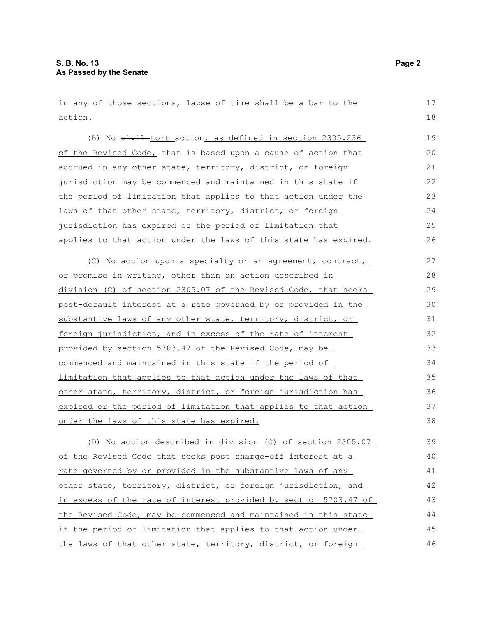in any of those sections, lapse of time shall be a bar to the action. 17 18

(B) No  $e^{i\psi}$  tort action, as defined in section 2305.236 of the Revised Code, that is based upon a cause of action that accrued in any other state, territory, district, or foreign jurisdiction may be commenced and maintained in this state if the period of limitation that applies to that action under the laws of that other state, territory, district, or foreign jurisdiction has expired or the period of limitation that applies to that action under the laws of this state has expired. 19 20 21 22 23  $24$ 25 26

(C) No action upon a specialty or an agreement, contract, or promise in writing, other than an action described in division (C) of section 2305.07 of the Revised Code, that seeks post-default interest at a rate governed by or provided in the substantive laws of any other state, territory, district, or foreign jurisdiction, and in excess of the rate of interest provided by section 5703.47 of the Revised Code, may be commenced and maintained in this state if the period of limitation that applies to that action under the laws of that other state, territory, district, or foreign jurisdiction has expired or the period of limitation that applies to that action under the laws of this state has expired. 27 28 29 30 31 32 33 34 35 36 37 38

(D) No action described in division (C) of section 2305.07 of the Revised Code that seeks post charge-off interest at a rate governed by or provided in the substantive laws of any other state, territory, district, or foreign jurisdiction, and in excess of the rate of interest provided by section 5703.47 of the Revised Code, may be commenced and maintained in this state if the period of limitation that applies to that action under the laws of that other state, territory, district, or foreign 39 40 41 42 43 44 45 46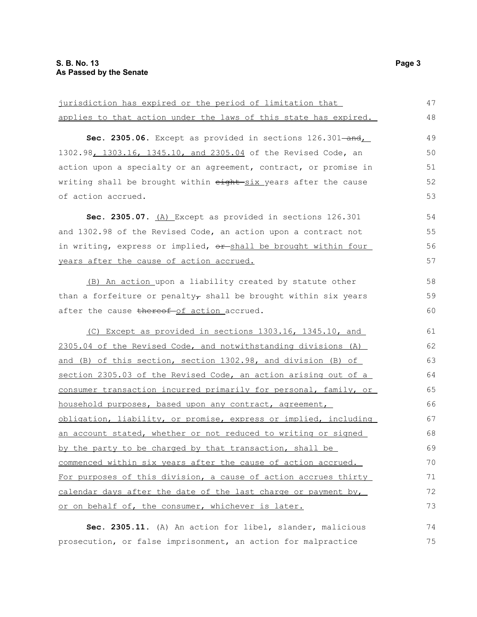| jurisdiction has expired or the period of limitation that        | 47 |
|------------------------------------------------------------------|----|
| applies to that action under the laws of this state has expired. | 48 |
| Sec. 2305.06. Except as provided in sections 126.301-and,        | 49 |
| 1302.98, 1303.16, 1345.10, and 2305.04 of the Revised Code, an   | 50 |
| action upon a specialty or an agreement, contract, or promise in | 51 |
| writing shall be brought within eight six years after the cause  | 52 |
| of action accrued.                                               | 53 |
| Sec. 2305.07. (A) Except as provided in sections 126.301         | 54 |
| and 1302.98 of the Revised Code, an action upon a contract not   | 55 |
| in writing, express or implied, or shall be brought within four  | 56 |
| years after the cause of action accrued.                         | 57 |
| (B) An action upon a liability created by statute other          | 58 |
| than a forfeiture or penalty, shall be brought within six years  | 59 |
| after the cause thereof-of action accrued.                       | 60 |
| (C) Except as provided in sections 1303.16, 1345.10, and         | 61 |
| 2305.04 of the Revised Code, and notwithstanding divisions (A)   | 62 |
| and (B) of this section, section 1302.98, and division (B) of    | 63 |
| section 2305.03 of the Revised Code, an action arising out of a  | 64 |
| consumer transaction incurred primarily for personal, family, or | 65 |
| household purposes, based upon any contract, agreement,          | 66 |
| obligation, liability, or promise, express or implied, including | 67 |
| an account stated, whether or not reduced to writing or signed   | 68 |
| by the party to be charged by that transaction, shall be         | 69 |
| commenced within six years after the cause of action accrued.    | 70 |
| For purposes of this division, a cause of action accrues thirty  | 71 |
| calendar days after the date of the last charge or payment by,   | 72 |
| or on behalf of, the consumer, whichever is later.               | 73 |
| Sec. 2305.11. (A) An action for libel, slander, malicious        | 74 |

prosecution, or false imprisonment, an action for malpractice

75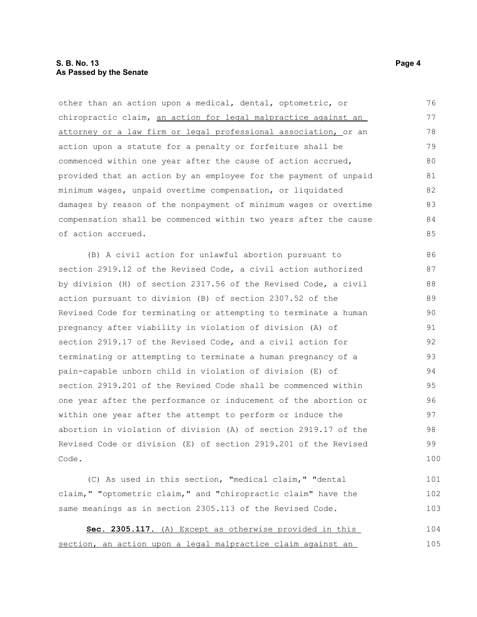#### **S. B. No. 13 Page 4 As Passed by the Senate**

other than an action upon a medical, dental, optometric, or chiropractic claim, an action for legal malpractice against an attorney or a law firm or legal professional association, or an action upon a statute for a penalty or forfeiture shall be commenced within one year after the cause of action accrued, provided that an action by an employee for the payment of unpaid minimum wages, unpaid overtime compensation, or liquidated damages by reason of the nonpayment of minimum wages or overtime compensation shall be commenced within two years after the cause of action accrued. 76 77 78 79 80 81 82 83 84 85

(B) A civil action for unlawful abortion pursuant to section 2919.12 of the Revised Code, a civil action authorized by division (H) of section 2317.56 of the Revised Code, a civil action pursuant to division (B) of section 2307.52 of the Revised Code for terminating or attempting to terminate a human pregnancy after viability in violation of division (A) of section 2919.17 of the Revised Code, and a civil action for terminating or attempting to terminate a human pregnancy of a pain-capable unborn child in violation of division (E) of section 2919.201 of the Revised Code shall be commenced within one year after the performance or inducement of the abortion or within one year after the attempt to perform or induce the abortion in violation of division (A) of section 2919.17 of the Revised Code or division (E) of section 2919.201 of the Revised Code. 86 87 88 89 90 91 92 93 94 95 96 97 98 99 100

(C) As used in this section, "medical claim," "dental claim," "optometric claim," and "chiropractic claim" have the same meanings as in section 2305.113 of the Revised Code. 101 102 103

Sec. 2305.117. (A) Except as otherwise provided in this section, an action upon a legal malpractice claim against an 104 105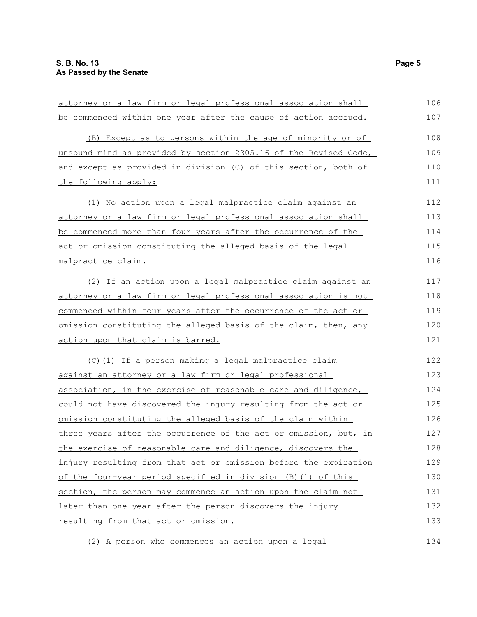| attorney or a law firm or legal professional association shall   | 106 |
|------------------------------------------------------------------|-----|
| be commenced within one year after the cause of action accrued.  | 107 |
| (B) Except as to persons within the age of minority or of        | 108 |
| unsound mind as provided by section 2305.16 of the Revised Code, | 109 |
| and except as provided in division (C) of this section, both of  | 110 |
| the following apply:                                             | 111 |
| (1) No action upon a legal malpractice claim against an          | 112 |
| attorney or a law firm or legal professional association shall   | 113 |
| be commenced more than four years after the occurrence of the    | 114 |
| act or omission constituting the alleged basis of the legal      | 115 |
| malpractice claim.                                               | 116 |
| (2) If an action upon a legal malpractice claim against an       | 117 |
| attorney or a law firm or legal professional association is not  | 118 |
| commenced within four years after the occurrence of the act or   | 119 |
| omission constituting the alleged basis of the claim, then, any  | 120 |
| action upon that claim is barred.                                | 121 |
| (C) (1) If a person making a legal malpractice claim             | 122 |
| against an attorney or a law firm or legal professional          | 123 |
| association, in the exercise of reasonable care and diligence,   | 124 |
| could not have discovered the injury resulting from the act or   | 125 |
| omission constituting the alleged basis of the claim within      | 126 |
| three years after the occurrence of the act or omission, but, in | 127 |
| the exercise of reasonable care and diligence, discovers the     | 128 |
| injury resulting from that act or omission before the expiration | 129 |
| of the four-year period specified in division (B) (1) of this    | 130 |
| section, the person may commence an action upon the claim not    | 131 |
| later than one year after the person discovers the injury        | 132 |
| resulting from that act or omission.                             | 133 |
| (2) A person who commences an action upon a legal                | 134 |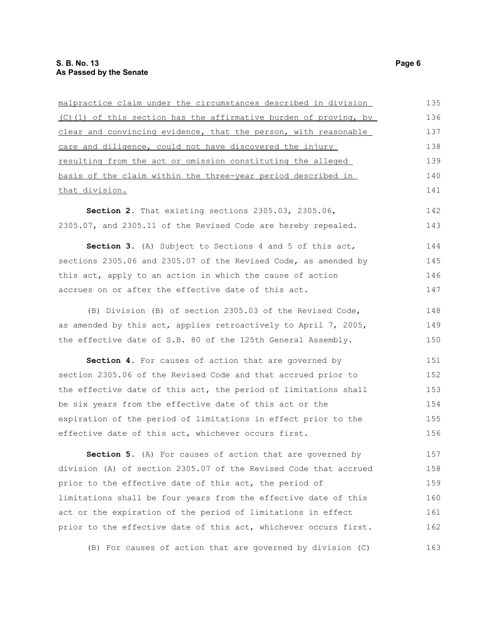malpractice claim under the circumstances described in division (C)(1) of this section has the affirmative burden of proving, by clear and convincing evidence, that the person, with reasonable care and diligence, could not have discovered the injury resulting from the act or omission constituting the alleged basis of the claim within the three-year period described in that division. **Section 2.** That existing sections 2305.03, 2305.06, 2305.07, and 2305.11 of the Revised Code are hereby repealed. **Section 3.** (A) Subject to Sections 4 and 5 of this act, sections 2305.06 and 2305.07 of the Revised Code, as amended by this act, apply to an action in which the cause of action accrues on or after the effective date of this act. (B) Division (B) of section 2305.03 of the Revised Code, as amended by this act, applies retroactively to April 7, 2005, the effective date of S.B. 80 of the 125th General Assembly. **Section 4.** For causes of action that are governed by section 2305.06 of the Revised Code and that accrued prior to the effective date of this act, the period of limitations shall be six years from the effective date of this act or the expiration of the period of limitations in effect prior to the effective date of this act, whichever occurs first. **Section 5.** (A) For causes of action that are governed by division (A) of section 2305.07 of the Revised Code that accrued 135 136 137 138 139 140 141 142 143 144 145 146 147 148 149 150 151 152 153 154 155 156 157 158

prior to the effective date of this act, the period of limitations shall be four years from the effective date of this act or the expiration of the period of limitations in effect prior to the effective date of this act, whichever occurs first. 159 160 161 162

(B) For causes of action that are governed by division (C) 163